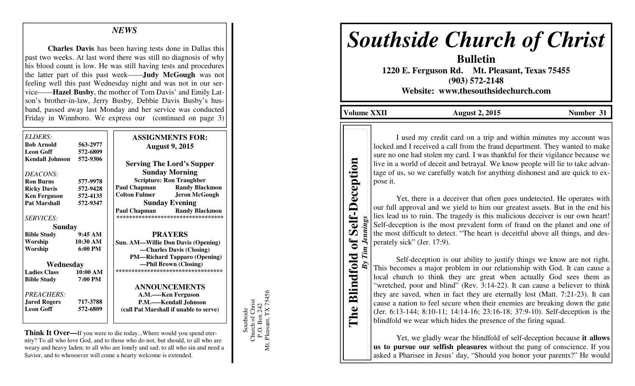## *NEWS*

**Charles Davis** has been having tests done in Dallas this past two weeks. At last word there was still no diagnosis of why his blood count is low. He was still having tests and procedures the latter part of this past week——**Judy McGough** was not feeling well this past Wednesday night and was not in our service——**Hazel Busby**, the mother of Tom Davis' and Emily Latson's brother-in-law, Jerry Busby, Debbie Davis Busby's husband, passed away last Monday and her service was conducted Friday in Winnboro. We express our (continued on page 3)

| <b>ELDERS:</b>         |                   |                                              |
|------------------------|-------------------|----------------------------------------------|
| <b>Bob Arnold</b>      |                   | <b>ASSIGNMENTS FOR:</b>                      |
|                        | 563-2977          | <b>August 9, 2015</b>                        |
| <b>Leon Goff</b>       | 572-6809          |                                              |
| <b>Kendall Johnson</b> | 572-9306          | <b>Serving The Lord's Supper</b>             |
| DEACONS:               |                   | <b>Sunday Morning</b>                        |
| <b>Ron Burns</b>       | 577-9978          | <b>Scripture: Ron Traughber</b>              |
| <b>Ricky Davis</b>     | 572-9428          | Paul Chapman<br><b>Randy Blackmon</b>        |
| <b>Ken Ferguson</b>    | 572-4135          | <b>Colton Fulmer</b><br><b>Jeron McGough</b> |
| <b>Pat Marshall</b>    | 572-9347          | <b>Sunday Evening</b>                        |
|                        |                   | <b>Paul Chapman</b> Randy Blackmon           |
| <b>SERVICES:</b>       |                   | **********************************           |
| <b>Sunday</b>          |                   |                                              |
| <b>Bible Study</b>     | 9:45AM            | <b>PRAYERS</b>                               |
| Worship                | 10:30 AM          | <b>Sun. AM—Willie Don Davis (Opening)</b>    |
| Worship                | $6:00 \text{ PM}$ | -Charles Davis (Closing)                     |
|                        |                   | <b>PM—Richard Tapparo (Opening)</b>          |
| Wednesday              |                   | —Phil Brown (Closing)                        |
| <b>Ladies Class</b>    | 10:00 AM          | ***********************************          |
| <b>Bible Study</b>     | 7:00 PM           |                                              |
|                        |                   | <b>ANNOUNCEMENTS</b>                         |
| PREACHERS:             |                   | A.M.—–Ken Ferguson                           |
| <b>Jared Rogers</b>    | 717-3788          | P.M.—Kendall Johnson                         |
| <b>Leon Goff</b>       | 572-6809          | (call Pat Marshall if unable to serve)       |
|                        |                   |                                              |

**Think It Over—**If you were to die today...Where would you spend eternity? To all who love God, and to those who do not, but should, to all who are weary and heavy laden; to all who are lonely and sad; to all who sin and need a Savior, and to whosoever will come a hearty welcome is extended.

Mt. Pleasant, TX 75456 P.O. Box 242<br>Mt. Pleasant, TX 75456 Southside<br>Church of Christ Church of Christ P.O. Box 242 Southside

# *Southside Church of Christ*

**Bulletin 1220 E. Ferguson Rd. Mt. Pleasant, Texas 75455 (903) 572-2148 Website: www.thesouthsidechurch.com** 

**Volume XXII August 2, 2015 Number 31** 

**The Blindfold of Self-Deception**  *By Tim Jennings* 

**Blindfold of** 

The

Jennings

 $By Tim$ .

**Self-Deception** 

I used my credit card on a trip and within minutes my account was locked and I received a call from the fraud department. They wanted to make sure no one had stolen my card. I was thankful for their vigilance because we live in a world of deceit and betrayal. We know people will lie to take advantage of us, so we carefully watch for anything dishonest and are quick to expose it.

 Yet, there is a deceiver that often goes undetected. He operates with our full approval and we yield to him our greatest assets. But in the end his lies lead us to ruin. The tragedy is this malicious deceiver is our own heart! Self-deception is the most prevalent form of fraud on the planet and one of the most difficult to detect. "The heart is deceitful above all things, and desperately sick" (Jer. 17:9).

 Self-deception is our ability to justify things we know are not right. This becomes a major problem in our relationship with God. It can cause a local church to think they are great when actually God sees them as "wretched, poor and blind" (Rev. 3:14-22). It can cause a believer to think they are saved, when in fact they are eternally lost (Matt. 7:21-23). It can cause a nation to feel secure when their enemies are breaking down the gate (Jer. 6:13-144; 8:10-11; 14:14-16; 23:16-18; 37:9-10). Self-deception is the blindfold we wear which hides the presence of the firing squad.

 Yet, we gladly wear the blindfold of self-deception because **it allows us to pursue our selfish pleasures** without the pang of conscience. If you asked a Pharisee in Jesus' day, "Should you honor your parents?" He would